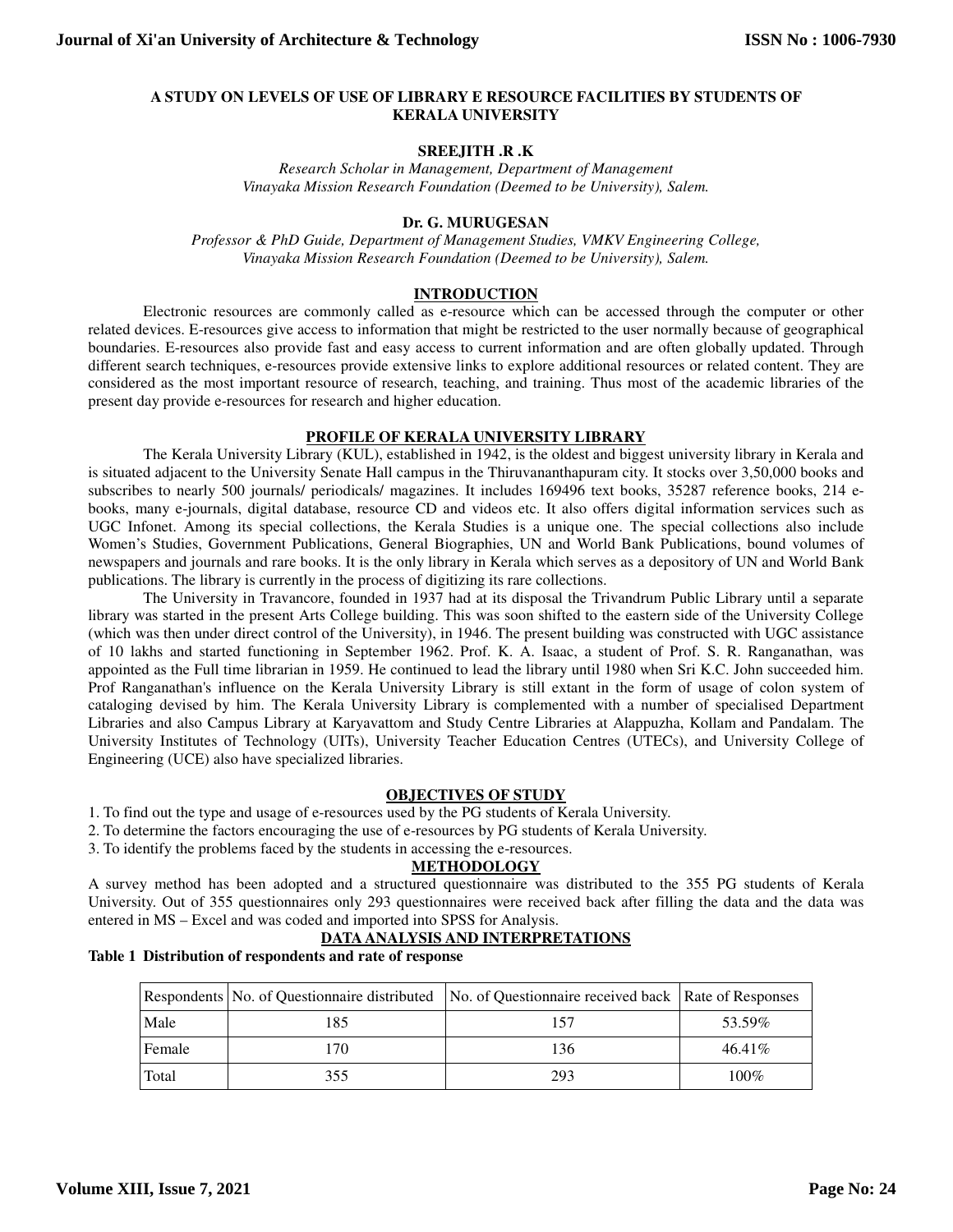### **A STUDY ON LEVELS OF USE OF LIBRARY E RESOURCE FACILITIES BY STUDENTS OF KERALA UNIVERSITY**

### **SREEJITH .R .K**

*Research Scholar in Management, Department of Management Vinayaka Mission Research Foundation (Deemed to be University), Salem.* 

## **Dr. G. MURUGESAN**

*Professor & PhD Guide, Department of Management Studies, VMKV Engineering College, Vinayaka Mission Research Foundation (Deemed to be University), Salem.* 

### **INTRODUCTION**

Electronic resources are commonly called as e-resource which can be accessed through the computer or other related devices. E-resources give access to information that might be restricted to the user normally because of geographical boundaries. E-resources also provide fast and easy access to current information and are often globally updated. Through different search techniques, e-resources provide extensive links to explore additional resources or related content. They are considered as the most important resource of research, teaching, and training. Thus most of the academic libraries of the present day provide e-resources for research and higher education.

# **PROFILE OF KERALA UNIVERSITY LIBRARY**

The Kerala University Library (KUL), established in 1942, is the oldest and biggest university library in Kerala and is situated adjacent to the University Senate Hall campus in the Thiruvananthapuram city. It stocks over 3,50,000 books and subscribes to nearly 500 journals/ periodicals/ magazines. It includes 169496 text books, 35287 reference books, 214 ebooks, many e-journals, digital database, resource CD and videos etc. It also offers digital information services such as UGC Infonet. Among its special collections, the Kerala Studies is a unique one. The special collections also include Women's Studies, Government Publications, General Biographies, UN and World Bank Publications, bound volumes of newspapers and journals and rare books. It is the only library in Kerala which serves as a depository of UN and World Bank publications. The library is currently in the process of digitizing its rare collections.

The University in Travancore, founded in 1937 had at its disposal the Trivandrum Public Library until a separate library was started in the present Arts College building. This was soon shifted to the eastern side of the University College (which was then under direct control of the University), in 1946. The present building was constructed with UGC assistance of 10 lakhs and started functioning in September 1962. Prof. K. A. Isaac, a student of Prof. S. R. Ranganathan, was appointed as the Full time librarian in 1959. He continued to lead the library until 1980 when Sri K.C. John succeeded him. Prof Ranganathan's influence on the Kerala University Library is still extant in the form of usage of colon system of cataloging devised by him. The Kerala University Library is complemented with a number of specialised Department Libraries and also Campus Library at Karyavattom and Study Centre Libraries at Alappuzha, Kollam and Pandalam. The University Institutes of Technology (UITs), University Teacher Education Centres (UTECs), and University College of Engineering (UCE) also have specialized libraries.

# **OBJECTIVES OF STUDY**

- 1. To find out the type and usage of e-resources used by the PG students of Kerala University.
- 2. To determine the factors encouraging the use of e-resources by PG students of Kerala University.
- 3. To identify the problems faced by the students in accessing the e-resources.

### **METHODOLOGY**

A survey method has been adopted and a structured questionnaire was distributed to the 355 PG students of Kerala University. Out of 355 questionnaires only 293 questionnaires were received back after filling the data and the data was entered in MS – Excel and was coded and imported into SPSS for Analysis.

# **DATA ANALYSIS AND INTERPRETATIONS**

### **Table 1 Distribution of respondents and rate of response**

|        |     | Respondents No. of Questionnaire distributed No. of Questionnaire received back Rate of Responses |           |
|--------|-----|---------------------------------------------------------------------------------------------------|-----------|
| Male   | 185 |                                                                                                   | 53.59%    |
| Female | 170 | 136                                                                                               | $46.41\%$ |
| Total  | 355 | 293                                                                                               | $100\%$   |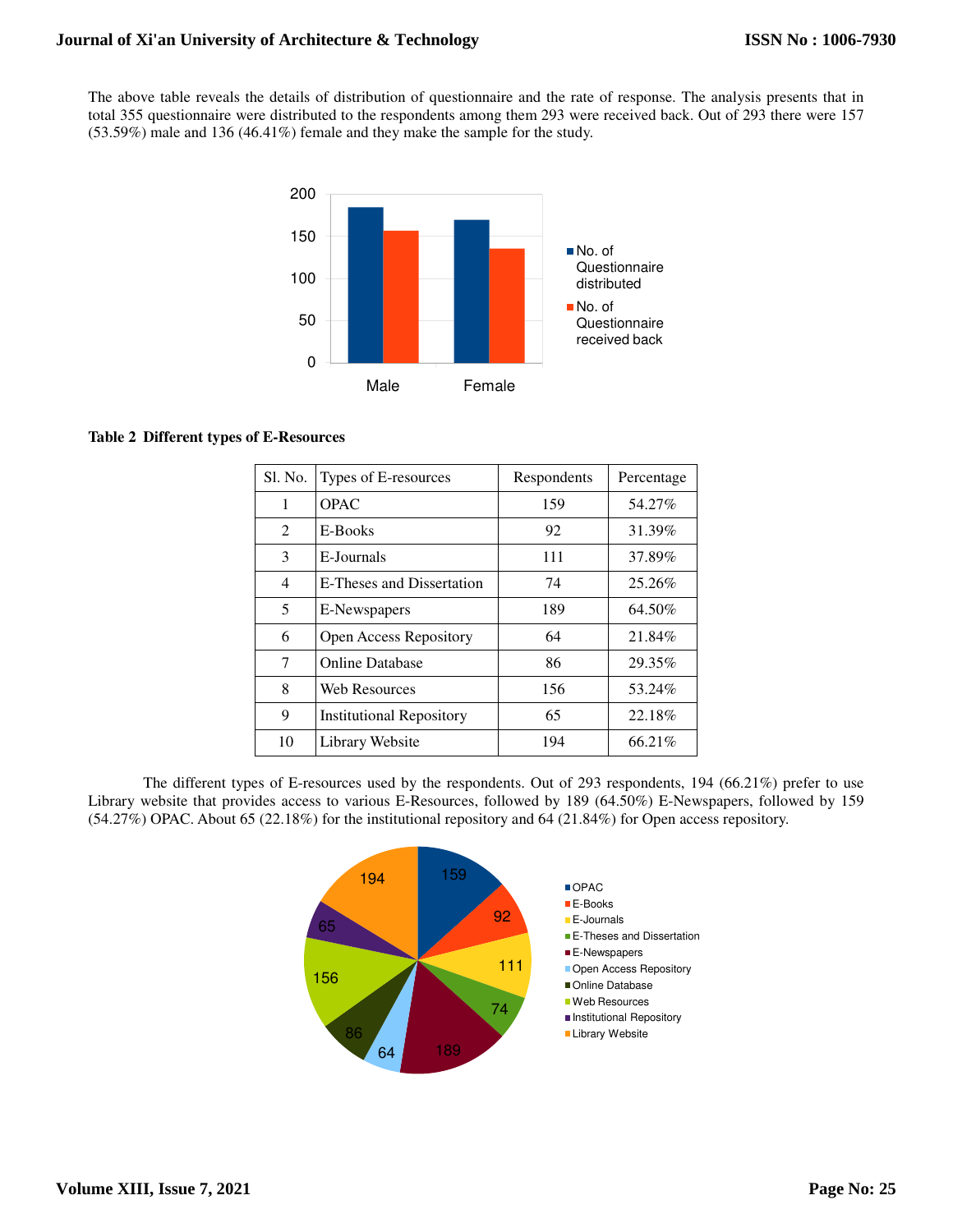The above table reveals the details of distribution of questionnaire and the rate of response. The analysis presents that in total 355 questionnaire were distributed to the respondents among them 293 were received back. Out of 293 there were 157 (53.59%) male and 136 (46.41%) female and they make the sample for the study.



# **Table 2 Different types of E-Resources**

| Sl. No.        | Types of E-resources            | Respondents | Percentage |
|----------------|---------------------------------|-------------|------------|
| 1              | OPAC                            | 159         | 54.27%     |
| 2              | E-Books                         | 92          | 31.39%     |
| 3              | E-Journals                      | 111         | 37.89%     |
| $\overline{4}$ | E-Theses and Dissertation       | 74          | 25.26%     |
| 5              | E-Newspapers                    | 189         | 64.50%     |
| 6              | Open Access Repository          | 64          | 21.84%     |
| 7              | <b>Online Database</b>          | 86          | 29.35%     |
| 8              | <b>Web Resources</b>            | 156         | 53.24%     |
| 9              | <b>Institutional Repository</b> | 65          | 22.18%     |
| 10             | Library Website                 | 194         | 66.21%     |

 The different types of E-resources used by the respondents. Out of 293 respondents, 194 (66.21%) prefer to use Library website that provides access to various E-Resources, followed by 189 (64.50%) E-Newspapers, followed by 159 (54.27%) OPAC. About 65 (22.18%) for the institutional repository and 64 (21.84%) for Open access repository.

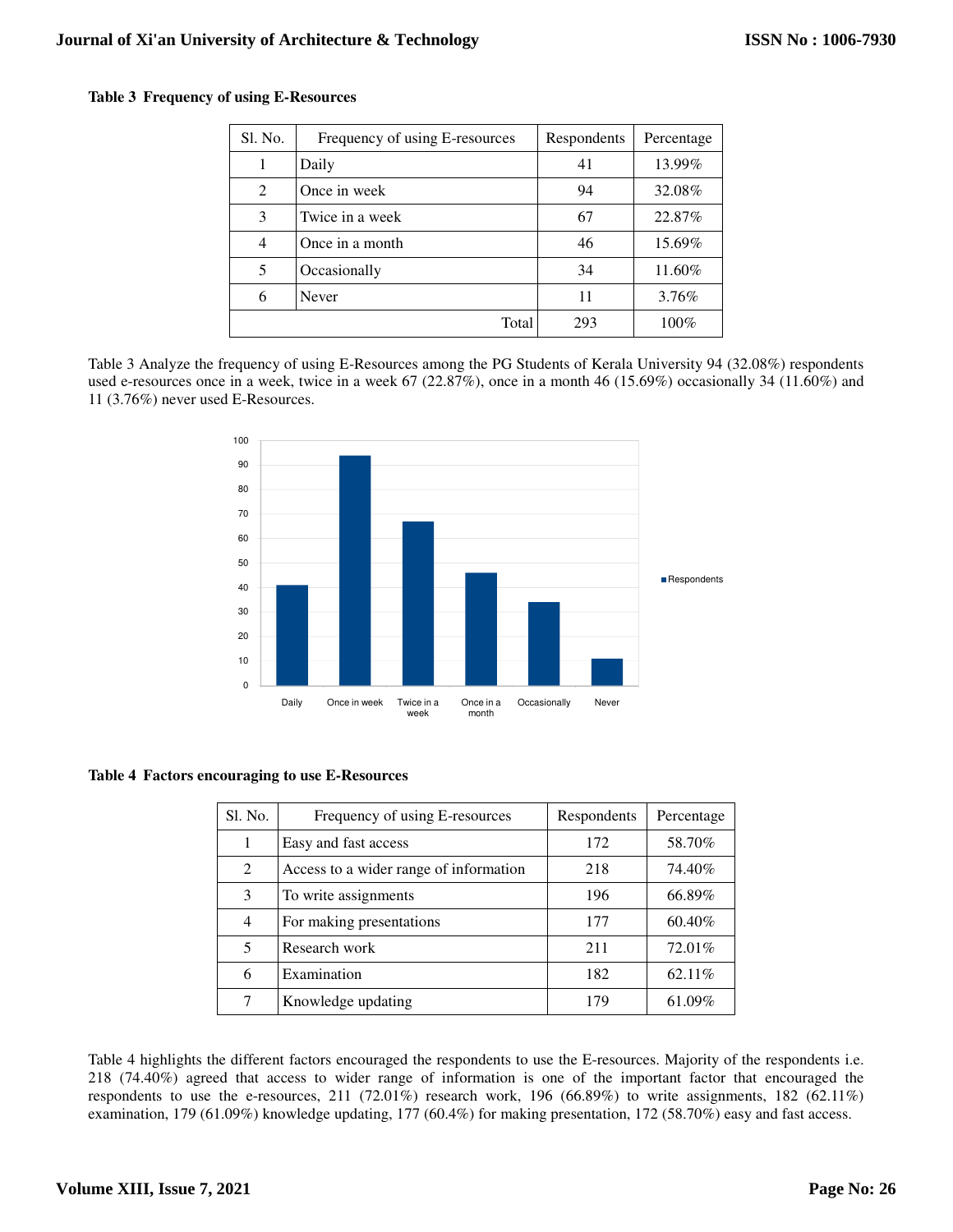|  |  |  | Table 3 Frequency of using E-Resources |
|--|--|--|----------------------------------------|
|--|--|--|----------------------------------------|

| Sl. No.                     | Frequency of using E-resources | Respondents | Percentage |
|-----------------------------|--------------------------------|-------------|------------|
|                             | Daily                          | 41          | 13.99%     |
| $\mathcal{D}_{\mathcal{L}}$ | Once in week                   | 94          | 32.08%     |
| 3                           | Twice in a week                | 67          | 22.87%     |
| 4                           | Once in a month                | 46          | 15.69%     |
| 5                           | Occasionally                   | 34          | 11.60%     |
| 6                           | Never                          | 11          | 3.76%      |
|                             | Total                          | 293         | $100\%$    |

Table 3 Analyze the frequency of using E-Resources among the PG Students of Kerala University 94 (32.08%) respondents used e-resources once in a week, twice in a week 67 (22.87%), once in a month 46 (15.69%) occasionally 34 (11.60%) and 11 (3.76%) never used E-Resources.



### **Table 4 Factors encouraging to use E-Resources**

| Sl. No.        | Frequency of using E-resources         | Respondents | Percentage |
|----------------|----------------------------------------|-------------|------------|
| 1              | Easy and fast access                   | 172         | 58.70%     |
| 2              | Access to a wider range of information | 218         | 74.40%     |
| 3              | To write assignments                   | 196         | 66.89%     |
| $\overline{4}$ | For making presentations               | 177         | 60.40%     |
| 5              | Research work                          | 211         | 72.01%     |
| 6              | Examination                            | 182         | 62.11%     |
| 7              | Knowledge updating                     | 179         | 61.09%     |

Table 4 highlights the different factors encouraged the respondents to use the E-resources. Majority of the respondents i.e. 218 (74.40%) agreed that access to wider range of information is one of the important factor that encouraged the respondents to use the e-resources, 211 (72.01%) research work, 196 (66.89%) to write assignments, 182 (62.11%) examination, 179 (61.09%) knowledge updating, 177 (60.4%) for making presentation, 172 (58.70%) easy and fast access.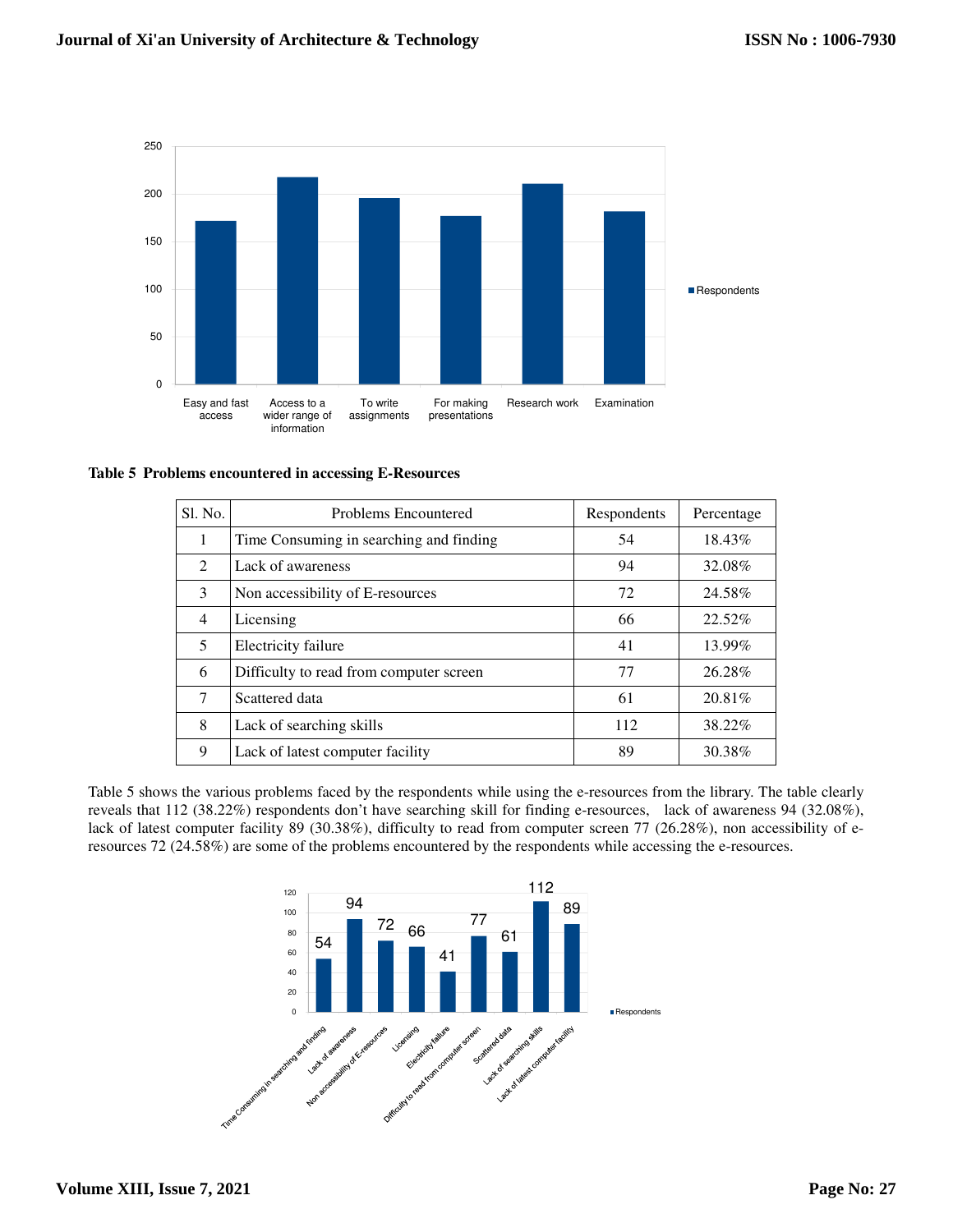

**Table 5 Problems encountered in accessing E-Resources**

| Sl. No.        | <b>Problems Encountered</b>             | Respondents | Percentage |
|----------------|-----------------------------------------|-------------|------------|
|                | Time Consuming in searching and finding | 54          | 18.43%     |
| $\mathfrak{D}$ | Lack of awareness                       | 94          | 32.08%     |
| 3              | Non accessibility of E-resources        | 72          | 24.58%     |
| $\overline{4}$ | Licensing                               | 66          | 22.52%     |
| 5              | Electricity failure                     | 41          | 13.99%     |
| 6              | Difficulty to read from computer screen | 77          | 26.28%     |
| 7              | Scattered data                          | 61          | 20.81\%    |
| 8              | Lack of searching skills                | 112         | 38.22%     |
| 9              | Lack of latest computer facility        | 89          | 30.38%     |

Table 5 shows the various problems faced by the respondents while using the e-resources from the library. The table clearly reveals that 112 (38.22%) respondents don't have searching skill for finding e-resources, lack of awareness 94 (32.08%), lack of latest computer facility 89 (30.38%), difficulty to read from computer screen 77 (26.28%), non accessibility of eresources 72 (24.58%) are some of the problems encountered by the respondents while accessing the e-resources.

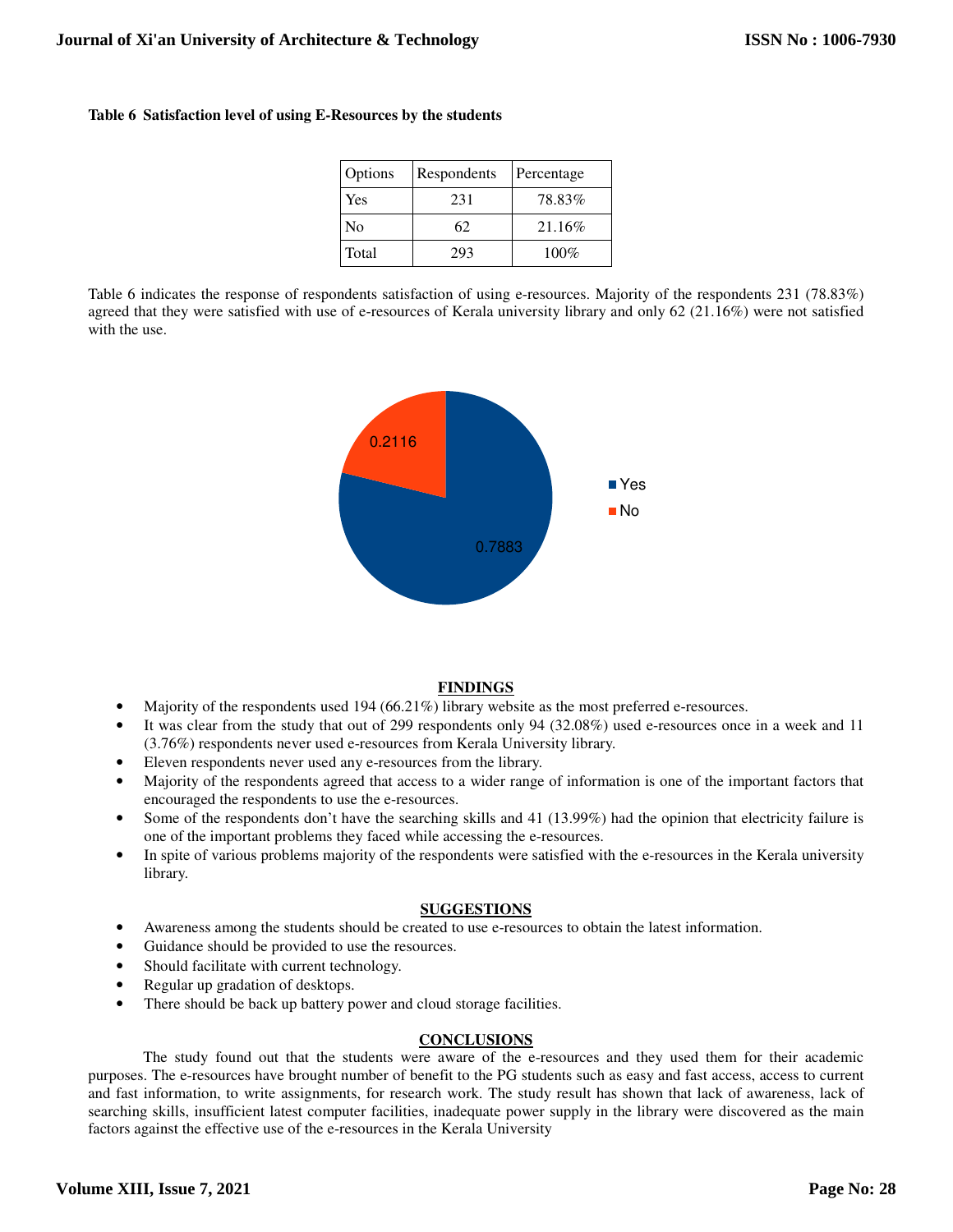| Options        | Respondents | Percentage |
|----------------|-------------|------------|
| Yes            | 231         | 78.83%     |
| N <sub>0</sub> | 62          | 21.16%     |
| Total          | 293         | $100\%$    |

Table 6 indicates the response of respondents satisfaction of using e-resources. Majority of the respondents 231 (78.83%) agreed that they were satisfied with use of e-resources of Kerala university library and only 62 (21.16%) were not satisfied with the use.



# **FINDINGS**

- Majority of the respondents used 194 (66.21%) library website as the most preferred e-resources.
- It was clear from the study that out of 299 respondents only 94 (32.08%) used e-resources once in a week and 11 (3.76%) respondents never used e-resources from Kerala University library.
- Eleven respondents never used any e-resources from the library.
- Majority of the respondents agreed that access to a wider range of information is one of the important factors that encouraged the respondents to use the e-resources.
- Some of the respondents don't have the searching skills and 41 (13.99%) had the opinion that electricity failure is one of the important problems they faced while accessing the e-resources.
- In spite of various problems majority of the respondents were satisfied with the e-resources in the Kerala university library.

### **SUGGESTIONS**

- Awareness among the students should be created to use e-resources to obtain the latest information.
- Guidance should be provided to use the resources.
- Should facilitate with current technology.
- Regular up gradation of desktops.
- There should be back up battery power and cloud storage facilities.

### **CONCLUSIONS**

The study found out that the students were aware of the e-resources and they used them for their academic purposes. The e-resources have brought number of benefit to the PG students such as easy and fast access, access to current and fast information, to write assignments, for research work. The study result has shown that lack of awareness, lack of searching skills, insufficient latest computer facilities, inadequate power supply in the library were discovered as the main factors against the effective use of the e-resources in the Kerala University